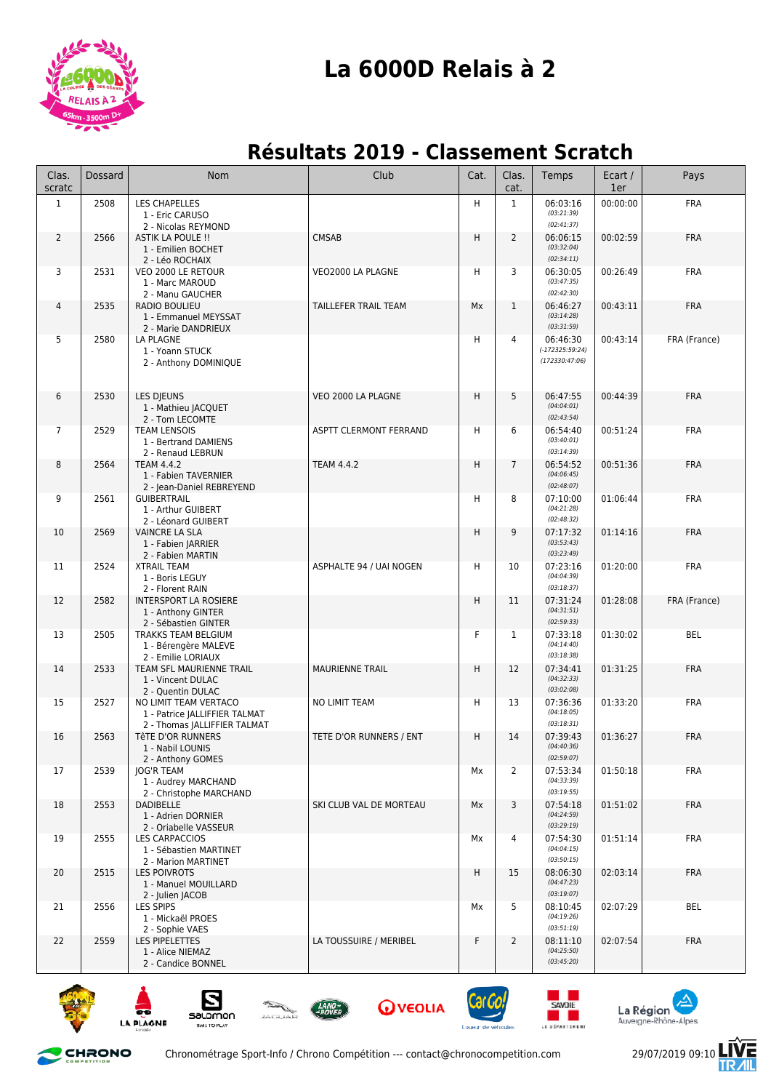

## **La 6000D Relais à 2**

## **Résultats 2019 - Classement Scratch**

| Clas.<br>scratc | <b>Dossard</b> | <b>Nom</b>                                                                             | Club                    | Cat. | Clas.<br>cat.  | Temps                                           | Ecart /<br>1er | Pays         |
|-----------------|----------------|----------------------------------------------------------------------------------------|-------------------------|------|----------------|-------------------------------------------------|----------------|--------------|
| $\mathbf{1}$    | 2508           | LES CHAPELLES<br>1 - Eric CARUSO<br>2 - Nicolas REYMOND                                |                         | H    | $\mathbf{1}$   | 06:03:16<br>(03:21:39)<br>(02:41:37)            | 00:00:00       | <b>FRA</b>   |
| $\overline{2}$  | 2566           | ASTIK LA POULE !!<br>1 - Emilien BOCHET<br>2 - Léo ROCHAIX                             | <b>CMSAB</b>            | H    | $\overline{2}$ | 06:06:15<br>(03:32:04)<br>(02:34:11)            | 00:02:59       | <b>FRA</b>   |
| 3               | 2531           | VEO 2000 LE RETOUR<br>1 - Marc MAROUD<br>2 - Manu GAUCHER                              | VEO2000 LA PLAGNE       | H    | 3              | 06:30:05<br>(03:47:35)<br>(02:42:30)            | 00:26:49       | <b>FRA</b>   |
| $\overline{4}$  | 2535           | RADIO BOULIEU<br>1 - Emmanuel MEYSSAT<br>2 - Marie DANDRIEUX                           | TAILLEFER TRAIL TEAM    | Mx   | $\mathbf{1}$   | 06:46:27<br>(03:14:28)<br>(03:31:59)            | 00:43:11       | <b>FRA</b>   |
| 5               | 2580           | LA PLAGNE<br>1 - Yoann STUCK<br>2 - Anthony DOMINIQUE                                  |                         | н    | 4              | 06:46:30<br>$(-172325:59:24)$<br>(172330:47:06) | 00:43:14       | FRA (France) |
| 6               | 2530           | <b>LES DIEUNS</b><br>1 - Mathieu JACQUET<br>2 - Tom LECOMTE                            | VEO 2000 LA PLAGNE      | Η    | 5              | 06:47:55<br>(04:04:01)<br>(02:43:54)            | 00:44:39       | <b>FRA</b>   |
| $\overline{7}$  | 2529           | <b>TEAM LENSOIS</b><br>1 - Bertrand DAMIENS<br>2 - Renaud LEBRUN                       | ASPTT CLERMONT FERRAND  | н    | 6              | 06:54:40<br>(03:40:01)<br>(03:14:39)            | 00:51:24       | <b>FRA</b>   |
| 8               | 2564           | <b>TEAM 4.4.2</b><br>1 - Fabien TAVERNIER<br>2 - Jean-Daniel REBREYEND                 | <b>TEAM 4.4.2</b>       | Η    | $\overline{7}$ | 06:54:52<br>(04:06:45)<br>(02:48:07)            | 00:51:36       | <b>FRA</b>   |
| 9               | 2561           | <b>GUIBERTRAIL</b><br>1 - Arthur GUIBERT<br>2 - Léonard GUIBERT                        |                         | н    | 8              | 07:10:00<br>(04:21:28)<br>(02:48:32)            | 01:06:44       | <b>FRA</b>   |
| 10              | 2569           | <b>VAINCRE LA SLA</b><br>1 - Fabien JARRIER<br>2 - Fabien MARTIN                       |                         | H    | 9              | 07:17:32<br>(03:53:43)<br>(03:23:49)            | 01:14:16       | <b>FRA</b>   |
| 11              | 2524           | <b>XTRAIL TEAM</b><br>1 - Boris LEGUY<br>2 - Florent RAIN                              | ASPHALTE 94 / UAI NOGEN | H    | 10             | 07:23:16<br>(04:04:39)<br>(03:18:37)            | 01:20:00       | <b>FRA</b>   |
| 12              | 2582           | <b>INTERSPORT LA ROSIERE</b><br>1 - Anthony GINTER<br>2 - Sébastien GINTER             |                         | H.   | 11             | 07:31:24<br>(04:31:51)<br>(02:59:33)            | 01:28:08       | FRA (France) |
| 13              | 2505           | TRAKKS TEAM BELGIUM<br>1 - Bérengère MALEVE<br>2 - Emilie LORIAUX                      |                         | F    | 1              | 07:33:18<br>(04:14:40)<br>(03:18:38)            | 01:30:02       | BEL          |
| 14              | 2533           | TEAM SFL MAURIENNE TRAIL<br>1 - Vincent DULAC<br>2 - Quentin DULAC                     | <b>MAURIENNE TRAIL</b>  | H    | 12             | 07:34:41<br>(04:32:33)<br>(03:02:08)            | 01:31:25       | <b>FRA</b>   |
| 15              | 2527           | NO LIMIT TEAM VERTACO<br>1 - Patrice JALLIFFIER TALMAT<br>2 - Thomas JALLIFFIER TALMAT | NO LIMIT TEAM           | Η    | 13             | 07:36:36<br>(04:18:05)<br>(03:18:31)            | 01:33:20       | <b>FRA</b>   |
| 16              | 2563           | TÊTE D'OR RUNNERS<br>1 - Nabil LOUNIS<br>2 - Anthony GOMES                             | TETE D'OR RUNNERS / ENT | H    | 14             | 07:39:43<br>(04:40:36)<br>(02:59:07)            | 01:36:27       | <b>FRA</b>   |
| 17              | 2539           | <b>JOG'R TEAM</b><br>1 - Audrey MARCHAND<br>2 - Christophe MARCHAND                    |                         | Mx   | 2              | 07:53:34<br>(04:33:39)<br>(03:19:55)            | 01:50:18       | <b>FRA</b>   |
| 18              | 2553           | <b>DADIBELLE</b><br>1 - Adrien DORNIER<br>2 - Oriabelle VASSEUR                        | SKI CLUB VAL DE MORTEAU | Mx   | 3              | 07:54:18<br>(04:24:59)<br>(03:29:19)            | 01:51:02       | <b>FRA</b>   |
| 19              | 2555           | <b>LES CARPACCIOS</b><br>1 - Sébastien MARTINET<br>2 - Marion MARTINET                 |                         | Mx   | $\overline{4}$ | 07:54:30<br>(04:04:15)<br>(03:50:15)            | 01:51:14       | <b>FRA</b>   |
| 20              | 2515           | <b>LES POIVROTS</b><br>1 - Manuel MOUILLARD<br>2 - Julien JACOB                        |                         | H    | 15             | 08:06:30<br>(04:47:23)<br>(03:19:07)            | 02:03:14       | <b>FRA</b>   |
| 21              | 2556           | LES SPIPS<br>1 - Mickaël PROES<br>2 - Sophie VAES                                      |                         | Мx   | 5              | 08:10:45<br>(04:19:26)<br>(03:51:19)            | 02:07:29       | BEL          |
| 22              | 2559           | <b>LES PIPELETTES</b><br>1 - Alice NIEMAZ<br>2 - Candice BONNEL                        | LA TOUSSUIRE / MERIBEL  | F    | $\overline{2}$ | 08:11:10<br>(04:25:50)<br>(03:45:20)            | 02:07:54       | <b>FRA</b>   |











**E DÉPARTEMENT** 





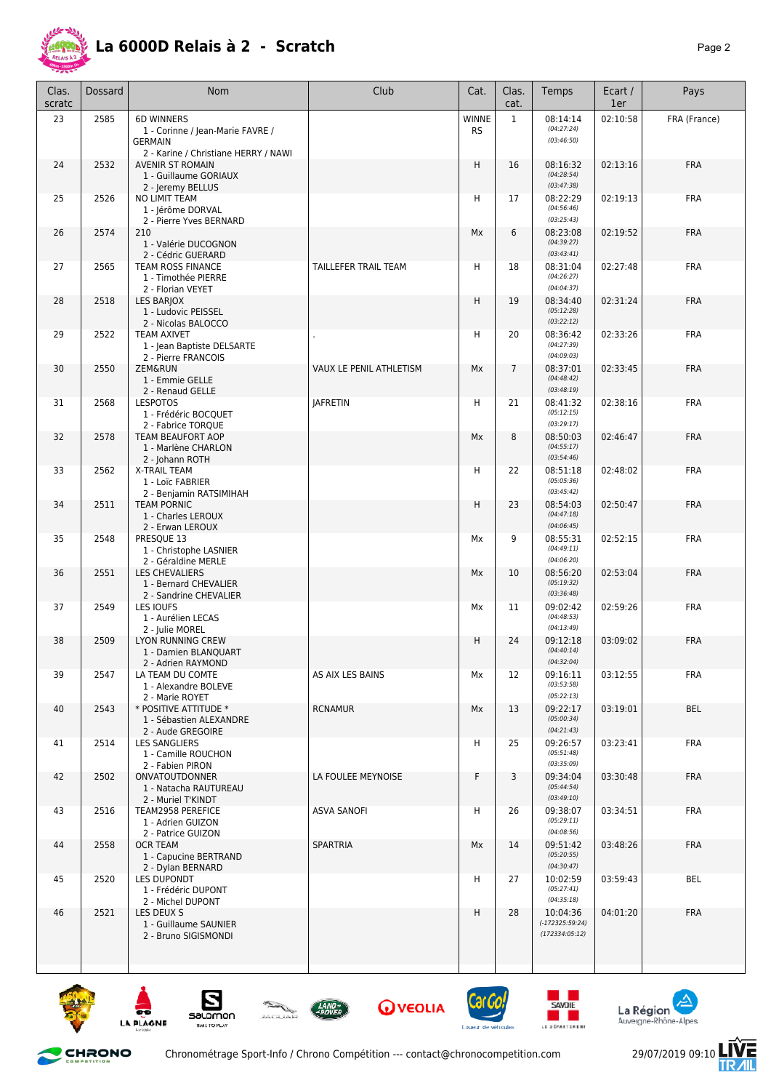

## **La 6000D Relais à 2 - Scratch** *Page 2*

| Clas.<br>scratc | Dossard | Nom                                                                                                             | Club                    | Cat.               | Clas.<br>cat.  | Temps                                           | Ecart /<br>1er | Pays         |
|-----------------|---------|-----------------------------------------------------------------------------------------------------------------|-------------------------|--------------------|----------------|-------------------------------------------------|----------------|--------------|
| 23              | 2585    | <b>6D WINNERS</b><br>1 - Corinne / Jean-Marie FAVRE /<br><b>GERMAIN</b><br>2 - Karine / Christiane HERRY / NAWI |                         | WINNE<br><b>RS</b> | $\mathbf{1}$   | 08:14:14<br>(04:27:24)<br>(03:46:50)            | 02:10:58       | FRA (France) |
| 24              | 2532    | <b>AVENIR ST ROMAIN</b><br>1 - Guillaume GORIAUX<br>2 - Jeremy BELLUS                                           |                         | H                  | 16             | 08:16:32<br>(04:28:54)<br>(03:47:38)            | 02:13:16       | <b>FRA</b>   |
| 25              | 2526    | NO LIMIT TEAM<br>1 - lérôme DORVAL<br>2 - Pierre Yves BERNARD                                                   |                         | н                  | 17             | 08:22:29<br>(04:56:46)<br>(03:25:43)            | 02:19:13       | <b>FRA</b>   |
| 26              | 2574    | 210<br>1 - Valérie DUCOGNON<br>2 - Cédric GUERARD                                                               |                         | Mx                 | 6              | 08:23:08<br>(04:39:27)<br>(03:43:41)            | 02:19:52       | <b>FRA</b>   |
| 27              | 2565    | TEAM ROSS FINANCE<br>1 - Timothée PIERRE<br>2 - Florian VEYET                                                   | TAILLEFER TRAIL TEAM    | H                  | 18             | 08:31:04<br>(04:26:27)<br>(04:04:37)            | 02:27:48       | <b>FRA</b>   |
| 28              | 2518    | LES BARJOX<br>1 - Ludovic PEISSEL<br>2 - Nicolas BALOCCO                                                        |                         | H                  | 19             | 08:34:40<br>(05:12:28)<br>(03:22:12)            | 02:31:24       | <b>FRA</b>   |
| 29              | 2522    | TEAM AXIVET<br>1 - Jean Baptiste DELSARTE<br>2 - Pierre FRANCOIS                                                |                         | H                  | 20             | 08:36:42<br>(04:27:39)<br>(04:09:03)            | 02:33:26       | <b>FRA</b>   |
| 30              | 2550    | <b>ZEM&amp;RUN</b><br>1 - Emmie GELLE<br>2 - Renaud GELLE                                                       | VAUX LE PENIL ATHLETISM | Mx                 | $\overline{7}$ | 08:37:01<br>(04:48:42)<br>(03:48:19)            | 02:33:45       | <b>FRA</b>   |
| 31              | 2568    | <b>LESPOTOS</b><br>1 - Frédéric BOCQUET<br>2 - Fabrice TORQUE                                                   | <b>JAFRETIN</b>         | н                  | 21             | 08:41:32<br>(05:12:15)<br>(03:29:17)            | 02:38:16       | <b>FRA</b>   |
| 32              | 2578    | <b>TEAM BEAUFORT AOP</b><br>1 - Marlène CHARLON<br>2 - Johann ROTH                                              |                         | Мx                 | 8              | 08:50:03<br>(04:55:17)<br>(03:54:46)            | 02:46:47       | <b>FRA</b>   |
| 33              | 2562    | X-TRAIL TEAM<br>1 - Loïc FABRIER<br>2 - Benjamin RATSIMIHAH                                                     |                         | н                  | 22             | 08:51:18<br>(05:05:36)<br>(03:45:42)            | 02:48:02       | <b>FRA</b>   |
| 34              | 2511    | <b>TEAM PORNIC</b><br>1 - Charles LEROUX<br>2 - Erwan LEROUX                                                    |                         | H                  | 23             | 08:54:03<br>(04:47:18)<br>(04:06:45)            | 02:50:47       | <b>FRA</b>   |
| 35              | 2548    | PRESQUE 13<br>1 - Christophe LASNIER<br>2 - Géraldine MERLE                                                     |                         | Mx                 | 9              | 08:55:31<br>(04:49:11)<br>(04:06:20)            | 02:52:15       | <b>FRA</b>   |
| 36              | 2551    | <b>LES CHEVALIERS</b><br>1 - Bernard CHEVALIER<br>2 - Sandrine CHEVALIER                                        |                         | Mx                 | 10             | 08:56:20<br>(05:19:32)<br>(03:36:48)            | 02:53:04       | <b>FRA</b>   |
| 37              | 2549    | LES IOUFS<br>1 - Aurélien LECAS<br>2 - Julie MOREL                                                              |                         | Mx                 | 11             | 09:02:42<br>(04:48:53)<br>(04:13:49)            | 02:59:26       | <b>FRA</b>   |
| 38              | 2509    | LYON RUNNING CREW<br>1 - Damien BLANQUART<br>2 - Adrien RAYMOND                                                 |                         | H                  | 24             | 09:12:18<br>(04:40:14)<br>(04:32:04)            | 03:09:02       | <b>FRA</b>   |
| 39              | 2547    | LA TEAM DU COMTE<br>1 - Alexandre BOLEVE<br>2 - Marie ROYET                                                     | AS AIX LES BAINS        | Мx                 | 12             | 09:16:11<br>(03:53:58)<br>(05:22:13)            | 03:12:55       | <b>FRA</b>   |
| 40              | 2543    | * POSITIVE ATTITUDE *<br>1 - Sébastien ALEXANDRE<br>2 - Aude GREGOIRE                                           | <b>RCNAMUR</b>          | Мx                 | 13             | 09:22:17<br>(05:00:34)<br>(04:21:43)            | 03:19:01       | BEL          |
| 41              | 2514    | LES SANGLIERS<br>1 - Camille ROUCHON<br>2 - Fabien PIRON                                                        |                         | н                  | 25             | 09:26:57<br>(05:51:48)<br>(03:35:09)            | 03:23:41       | <b>FRA</b>   |
| 42              | 2502    | ONVATOUTDONNER<br>1 - Natacha RAUTUREAU<br>2 - Muriel T'KINDT                                                   | LA FOULEE MEYNOISE      | F                  | 3              | 09:34:04<br>(05:44:54)<br>(03:49:10)            | 03:30:48       | <b>FRA</b>   |
| 43              | 2516    | TEAM2958 PEREFICE<br>1 - Adrien GUIZON<br>2 - Patrice GUIZON                                                    | ASVA SANOFI             | н                  | 26             | 09:38:07<br>(05:29:11)<br>(04:08:56)            | 03:34:51       | <b>FRA</b>   |
| 44              | 2558    | <b>OCR TEAM</b><br>1 - Capucine BERTRAND<br>2 - Dylan BERNARD                                                   | <b>SPARTRIA</b>         | Mx                 | 14             | 09:51:42<br>(05:20:55)<br>(04:30:47)            | 03:48:26       | <b>FRA</b>   |
| 45              | 2520    | LES DUPONDT<br>1 - Frédéric DUPONT<br>2 - Michel DUPONT                                                         |                         | н                  | 27             | 10:02:59<br>(05:27:41)<br>(04:35:18)            | 03:59:43       | <b>BEL</b>   |
| 46              | 2521    | LES DEUX S<br>1 - Guillaume SAUNIER<br>2 - Bruno SIGISMONDI                                                     |                         | H                  | 28             | 10:04:36<br>$(-172325:59:24)$<br>(172334:05:12) | 04:01:20       | <b>FRA</b>   |
|                 |         |                                                                                                                 |                         |                    |                |                                                 |                |              |

















E